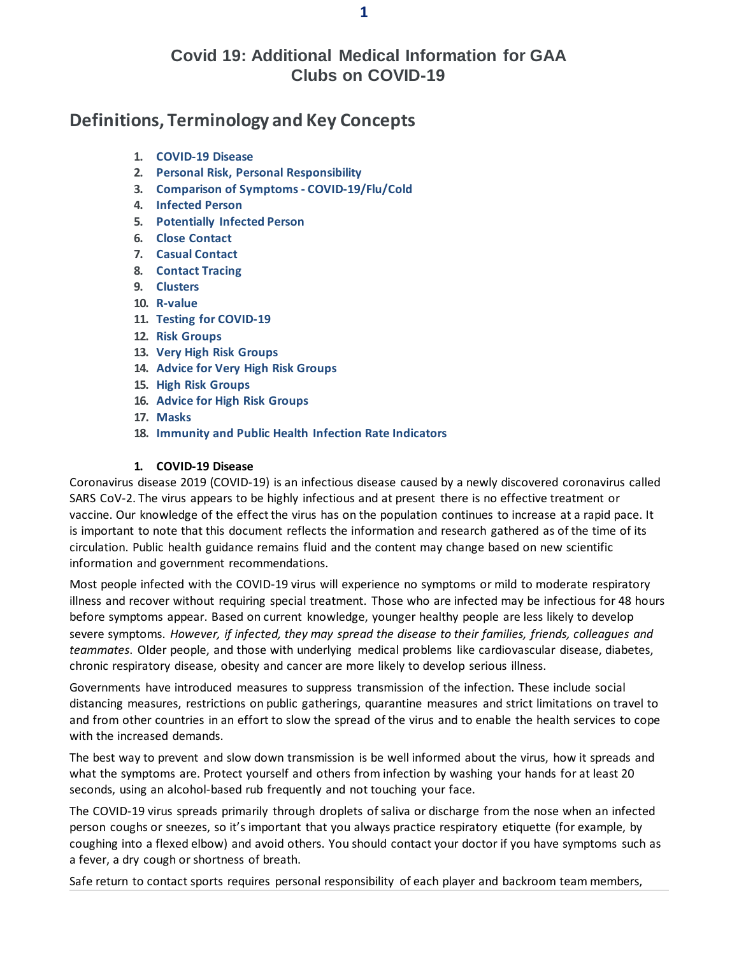# **Covid 19: Additional Medical Information for GAA Clubs on COVID-19**

# **Definitions, Terminology and Key Concepts**

- **1. COVID-19 Disease**
- **2. Personal Risk, Personal Responsibility**
- **3. Comparison of Symptoms - COVID-19/Flu/Cold**
- **4. Infected Person**
- **5. Potentially Infected Person**
- **6. Close Contact**
- **7. Casual Contact**
- **8. Contact Tracing**
- **9. Clusters**
- **10. R-value**
- **11. Testing for COVID-19**
- **12. Risk Groups**
- **13. Very High Risk Groups**
- **14. Advice for Very High Risk Groups**
- **15. High Risk Groups**
- **16. Advice for High Risk Groups**
- **17. Masks**
- **18. Immunity and Public Health Infection Rate Indicators**

#### **1. COVID-19 Disease**

Coronavirus disease 2019 (COVID-19) is an infectious disease caused by a newly discovered coronavirus called SARS CoV-2. The virus appears to be highly infectious and at present there is no effective treatment or vaccine. Our knowledge of the effect the virus has on the population continues to increase at a rapid pace. It is important to note that this document reflects the information and research gathered as of the time of its circulation. Public health guidance remains fluid and the content may change based on new scientific information and government recommendations.

Most people infected with the COVID-19 virus will experience no symptoms or mild to moderate respiratory illness and recover without requiring special treatment. Those who are infected may be infectious for 48 hours before symptoms appear. Based on current knowledge, younger healthy people are less likely to develop severe symptoms. *However, if infected, they may spread the disease to their families, friends, colleagues and teammates*. Older people, and those with underlying medical problems like cardiovascular disease, diabetes, chronic respiratory disease, obesity and cancer are more likely to develop serious illness.

Governments have introduced measures to suppress transmission of the infection. These include social distancing measures, restrictions on public gatherings, quarantine measures and strict limitations on travel to and from other countries in an effort to slow the spread of the virus and to enable the health services to cope with the increased demands.

The best way to prevent and slow down transmission is be well informed about the virus, how it spreads and what the symptoms are. Protect yourself and others from infection by washing your hands for at least 20 seconds, using an alcohol-based rub frequently and not touching your face.

The COVID-19 virus spreads primarily through droplets of saliva or discharge from the nose when an infected person coughs or sneezes, so it's important that you always practice respiratory etiquette (for example, by coughing into a flexed elbow) and avoid others. You should contact your doctor if you have symptoms such as a fever, a dry cough or shortness of breath.

Safe return to contact sports requires personal responsibility of each player and backroom team members,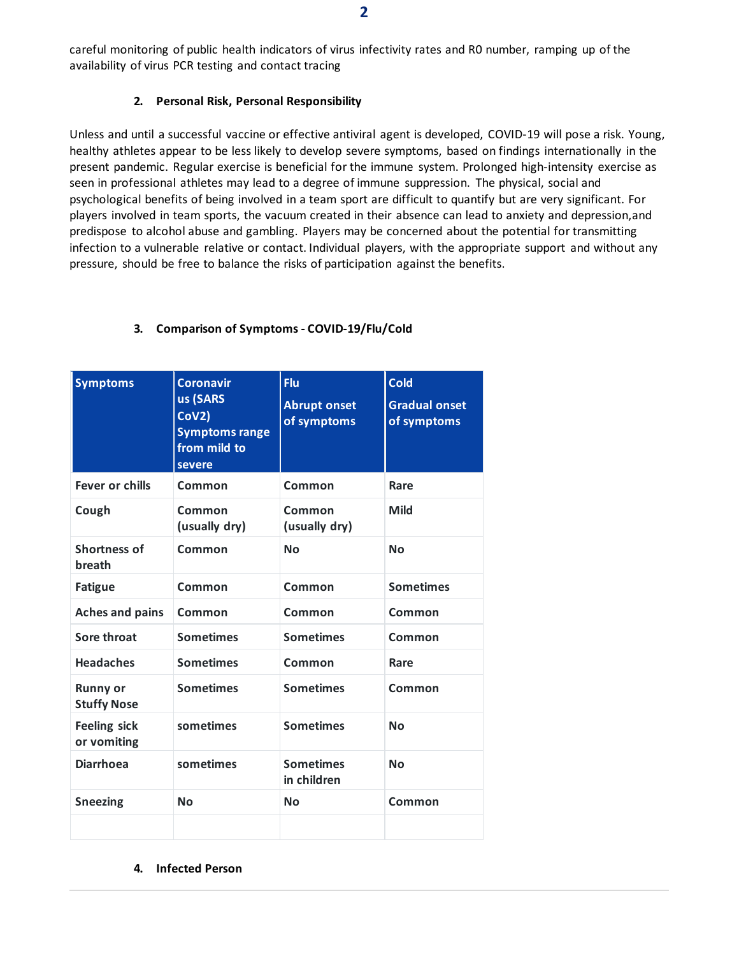careful monitoring of public health indicators of virus infectivity rates and R0 number, ramping up of the availability of virus PCR testing and contact tracing

### **2. Personal Risk, Personal Responsibility**

Unless and until a successful vaccine or effective antiviral agent is developed, COVID-19 will pose a risk. Young, healthy athletes appear to be less likely to develop severe symptoms, based on findings internationally in the present pandemic. Regular exercise is beneficial for the immune system. Prolonged high-intensity exercise as seen in professional athletes may lead to a degree of immune suppression. The physical, social and psychological benefits of being involved in a team sport are difficult to quantify but are very significant. For players involved in team sports, the vacuum created in their absence can lead to anxiety and depression,and predispose to alcohol abuse and gambling. Players may be concerned about the potential for transmitting infection to a vulnerable relative or contact. Individual players, with the appropriate support and without any pressure, should be free to balance the risks of participation against the benefits.

| <b>Symptoms</b>                       | <b>Coronavir</b><br>us (SARS<br>Cov2<br><b>Symptoms range</b><br>from mild to<br>severe | Flu<br><b>Abrupt onset</b><br>of symptoms | <b>Cold</b><br><b>Gradual onset</b><br>of symptoms |
|---------------------------------------|-----------------------------------------------------------------------------------------|-------------------------------------------|----------------------------------------------------|
| <b>Fever or chills</b>                | Common                                                                                  | Common                                    | Rare                                               |
| Cough                                 | Common<br>(usually dry)                                                                 | Common<br>(usually dry)                   | Mild                                               |
| <b>Shortness of</b><br>breath         | Common                                                                                  | <b>No</b>                                 | <b>No</b>                                          |
| <b>Fatigue</b>                        | Common                                                                                  | Common                                    | <b>Sometimes</b>                                   |
| <b>Aches and pains</b>                | Common                                                                                  | Common                                    | Common                                             |
| <b>Sore throat</b>                    | <b>Sometimes</b>                                                                        | <b>Sometimes</b>                          | Common                                             |
| <b>Headaches</b>                      | <b>Sometimes</b>                                                                        | Common                                    | Rare                                               |
| <b>Runny or</b><br><b>Stuffy Nose</b> | <b>Sometimes</b>                                                                        | <b>Sometimes</b>                          | Common                                             |
| <b>Feeling sick</b><br>or vomiting    | sometimes                                                                               | <b>Sometimes</b>                          | <b>No</b>                                          |
| <b>Diarrhoea</b>                      | sometimes                                                                               | <b>Sometimes</b><br>in children           | <b>No</b>                                          |
| <b>Sneezing</b>                       | <b>No</b>                                                                               | <b>No</b>                                 | Common                                             |
|                                       |                                                                                         |                                           |                                                    |

## **3. Comparison of Symptoms - COVID-19/Flu/Cold**

#### **4. Infected Person**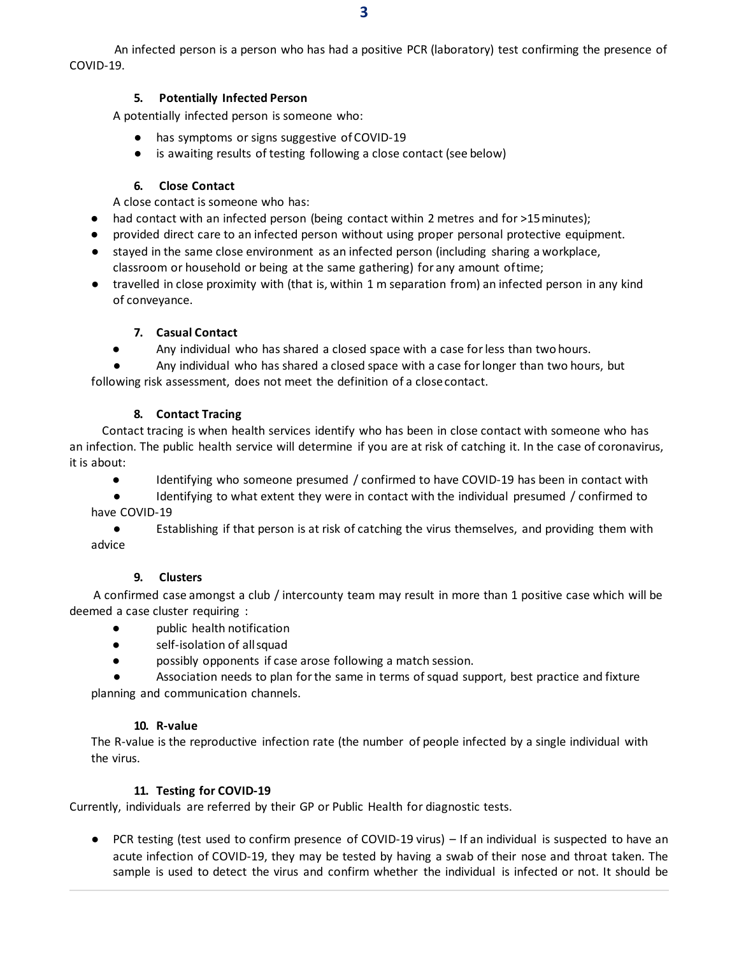An infected person is a person who has had a positive PCR (laboratory) test confirming the presence of COVID-19.

#### **5. Potentially Infected Person**

A potentially infected person is someone who:

- has symptoms or signs suggestive of COVID-19
- is awaiting results of testing following a close contact (see below)

#### **6. Close Contact**

A close contact is someone who has:

- had contact with an infected person (being contact within 2 metres and for >15minutes);
- provided direct care to an infected person without using proper personal protective equipment.
- stayed in the same close environment as an infected person (including sharing a workplace, classroom or household or being at the same gathering) for any amount oftime;
- travelled in close proximity with (that is, within 1 m separation from) an infected person in any kind of conveyance.

#### **7. Casual Contact**

● Any individual who has shared a closed space with a case for less than two hours.

Any individual who has shared a closed space with a case for longer than two hours, but following risk assessment, does not meet the definition of a closecontact.

#### **8. Contact Tracing**

Contact tracing is when health services identify who has been in close contact with someone who has an infection. The public health service will determine if you are at risk of catching it. In the case of coronavirus, it is about:

- Identifying who someone presumed / confirmed to have COVID-19 has been in contact with
- Identifying to what extent they were in contact with the individual presumed / confirmed to have COVID-19
- Establishing if that person is at risk of catching the virus themselves, and providing them with advice

#### **9. Clusters**

A confirmed case amongst a club / intercounty team may result in more than 1 positive case which will be deemed a case cluster requiring :

- **●** public health notification
- **●** self-isolation of allsquad
- **●** possibly opponents if case arose following a match session.

Association needs to plan for the same in terms of squad support, best practice and fixture planning and communication channels.

#### **10. R-value**

The R-value is the reproductive infection rate (the number of people infected by a single individual with the virus.

#### **11. Testing for COVID-19**

Currently, individuals are referred by their GP or Public Health for diagnostic tests.

● PCR testing (test used to confirm presence of COVID-19 virus) – If an individual is suspected to have an acute infection of COVID-19, they may be tested by having a swab of their nose and throat taken. The sample is used to detect the virus and confirm whether the individual is infected or not. It should be

**3**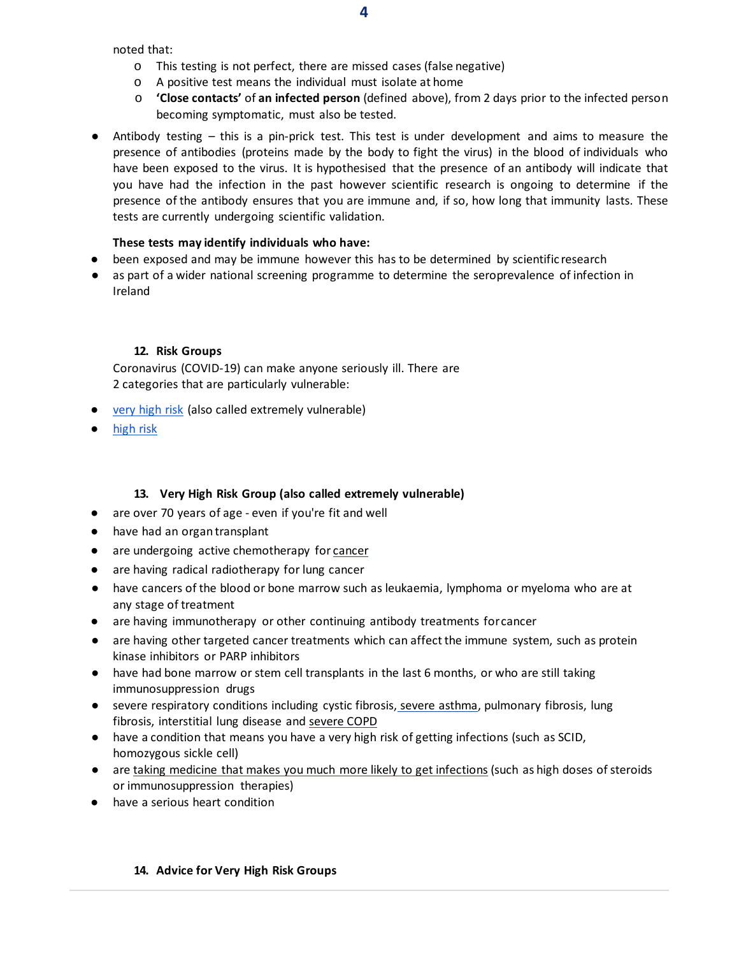noted that:

- o This testing is not perfect, there are missed cases (false negative)
- o A positive test means the individual must isolate at home
- o **'Close contacts'** of **an infected person** (defined above), from 2 days prior to the infected person becoming symptomatic, must also be tested.
- Antibody testing this is a pin-prick test. This test is under development and aims to measure the presence of antibodies (proteins made by the body to fight the virus) in the blood of individuals who have been exposed to the virus. It is hypothesised that the presence of an antibody will indicate that you have had the infection in the past however scientific research is ongoing to determine if the presence of the antibody ensures that you are immune and, if so, how long that immunity lasts. These tests are currently undergoing scientific validation.

#### **These tests may identify individuals who have:**

- been exposed and may be immune however this has to be determined by scientific research
- as part of a wider national screening programme to determine the seroprevalence of infection in Ireland

### **12. Risk Groups**

Coronavirus (COVID-19) can make anyone seriously ill. There are 2 categories that are particularly vulnerable:

- [very high risk](https://www2.hse.ie/conditions/coronavirus/people-at-higher-risk.html#very-high-risk) (also called extremely vulnerable)
- [high](https://www2.hse.ie/conditions/coronavirus/people-at-higher-risk.html#high-risk) risk

## **13. Very High Risk Group (also called extremely vulnerable)**

- are over 70 years of age even if you're fit and well
- have had an organ transplant
- are undergoing active chemotherapy for [cancer](https://www2.hse.ie/conditions/coronavirus/cancer-patients.html)
- are having radical radiotherapy for lung cancer
- have cancers of the blood or bone marrow such as leukaemia, lymphoma or myeloma who are at any stage of treatment
- are having immunotherapy or other continuing antibody treatments forcancer
- are having other targeted cancer treatments which can affect the immune system, such as protein kinase inhibitors or PARP inhibitors
- have had bone marrow or stem cell transplants in the last 6 months, or who are still taking immunosuppression drugs
- severe respiratory conditions including cystic fibrosis, severe [asthma,](https://www2.hse.ie/conditions/coronavirus/asthma.html) pulmonary fibrosis, lung fibrosis, interstitial lung disease and [severe](https://www2.hse.ie/conditions/coronavirus/copd.html) COPD
- have a condition that means you have a very high risk of getting infections (such as SCID, homozygous sickle cell)
- are taking medicine that makes you much more likely to get [infections](https://www2.hse.ie/conditions/coronavirus/weak-immune-system.html) (such as high doses of steroids or immunosuppression therapies)
- have a serious heart condition

## **14. Advice for Very High Risk Groups**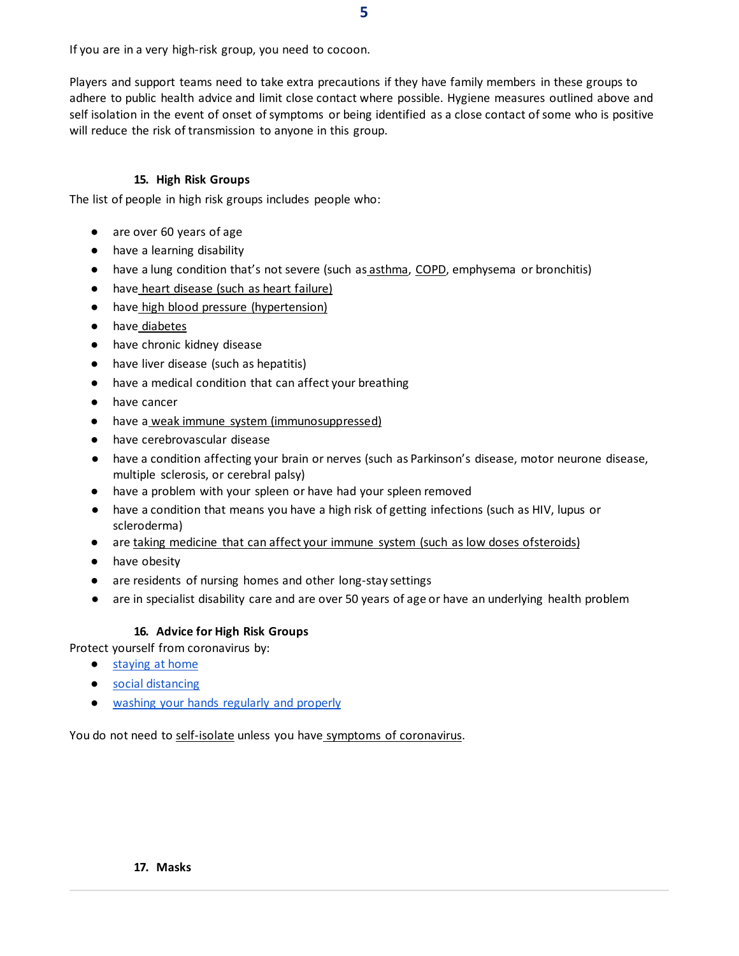If you are in a very high-risk group, you need to cocoon.

Players and support teams need to take extra precautions if they have family members in these groups to adhere to public health advice and limit close contact where possible. Hygiene measures outlined above and self isolation in the event of onset of symptoms or being identified as a close contact of some who is positive will reduce the risk of transmission to anyone in this group.

#### **15. High Risk Groups**

The list of people in high risk groups includes people who:

- are over 60 years of age
- have a learning disability
- have a lung condition that's not severe (such as [asthma,](https://www2.hse.ie/conditions/coronavirus/asthma.html) [COPD,](https://www2.hse.ie/conditions/coronavirus/copd.html) emphysema or bronchitis)
- have [heart disease \(such as heart](https://www2.hse.ie/conditions/coronavirus/heart-conditions.html) failure)
- have [high blood pressure](https://www2.hse.ie/conditions/coronavirus/high-blood-pressure.html) (hypertension)
- have [diabetes](https://www2.hse.ie/conditions/coronavirus/diabetes-and-coronavirus.html)
- have chronic kidney disease
- have liver disease (such as hepatitis)
- have a medical condition that can affect your breathing
- have cancer
- have a [weak immune system](https://www2.hse.ie/conditions/coronavirus/weak-immune-system.html) (immunosuppressed)
- have cerebrovascular disease
- have a condition affecting your brain or nerves (such as Parkinson's disease, motor neurone disease, multiple sclerosis, or cerebral palsy)
- have a problem with your spleen or have had your spleen removed
- have a condition that means you have a high risk of getting infections (such as HIV, lupus or scleroderma)
- are [taking medicine that can affect your immune system \(such as low doses ofsteroids\)](https://www2.hse.ie/conditions/coronavirus/weak-immune-system.html)
- have obesity
- are residents of nursing homes and other long-stay settings
- are in specialist disability care and are over 50 years of age or have an underlying health problem

## **16. Advice for High Risk Groups**

Protect yourself from coronavirus by:

- [staying at](https://www2.hse.ie/conditions/coronavirus/protect-yourself-and-others.html#stay-at-home) home
- social [distancing](https://www2.hse.ie/conditions/coronavirus/protect-yourself-and-others.html#social-distancing)
- [washing your hands regularly and](https://www2.hse.ie/conditions/coronavirus/protect-yourself-and-others.html#hand-washing) properly

You do not need t[o self-isolate](https://www2.hse.ie/conditions/coronavirus/managing-coronavirus-at-home/self-isolation.html) unless you have [symptoms of coronavirus.](https://www2.hse.ie/conditions/coronavirus/symptoms.html)